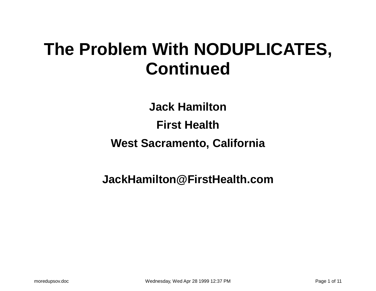#### **The Problem With NODUPLICATES, Continued**

**Jack Hamilton First Health West Sacramento, California**

**JackHamilton@FirstHealth.com**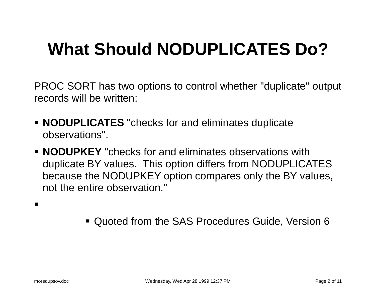## **What Should NODUPLICATES Do?**

PROC SORT has two options to control whether "duplicate" output records will be written:

- **NODUPLICATES** "checks for and eliminates duplicate observations".
- **NODUPKEY** "checks for and eliminates observations with duplicate BY values. This option differs from NODUPLICATES because the NODUPKEY option compares only the BY values, not the entire observation."

 $\blacksquare$ 

Quoted from the SAS Procedures Guide, Version 6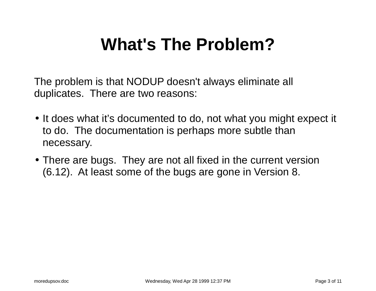#### **What's The Problem?**

The problem is that NODUP doesn't always eliminate all duplicates. There are two reasons:

- It does what it's documented to do, not what you might expect it to do. The documentation is perhaps more subtle than necessary.
- There are bugs. They are not all fixed in the current version (6.12). At least some of the bugs are gone in Version 8.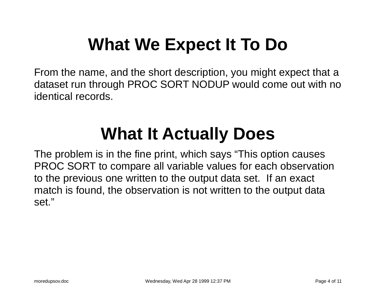## **What We Expect It To Do**

From the name, and the short description, you might expect that <sup>a</sup> dataset run through PROC SORT NODUP would come out with no identical records.

#### **What It Actually Does**

The problem is in the fine print, which says "This option causes PROC SORT to compare all variable values for each observation to the previous one written to the output data set. If an exact match is found, the observation is not written to the output data set."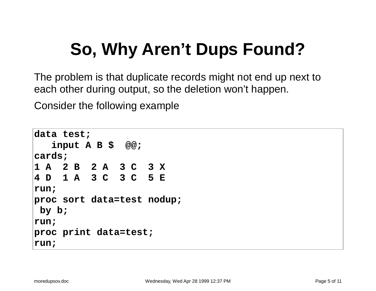## **So, Why Aren't Dups Found?**

The problem is that duplicate records might not end up next to each other during output, so the deletion won't happen.

Consider the following example

```
data test;
  input A B $ @@;
cards;
1A 2B 2A 3C 3X
4D 1A 3C 3C 5E
run;
proc sort data=test nodup;
by b;
run;
proc print data=test;
run;
```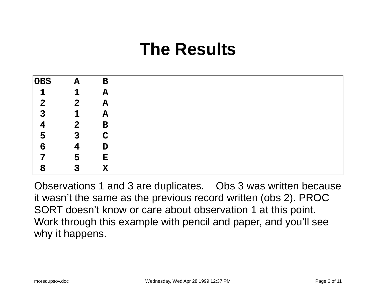#### **The Results**

| <b>OBS</b>   | ${\bf A}$      | $\mathbf B$ |
|--------------|----------------|-------------|
|              | 1              | ${\bf A}$   |
| $\mathbf{2}$ | 2 <sub>1</sub> | $\mathbf A$ |
| 3            | $\mathbf 1$    | ${\bf A}$   |
| 4            | $\mathbf{2}$   | $\mathbf B$ |
| 5            | 3              | C           |
| 6            | 4              | $\mathbf D$ |
| 7            | 5              | Е           |
| 8            | 3              | $\mathbf X$ |

Observations 1 and 3 are duplicates. Obs 3 was written because it wasn't the same as the previous record written (obs 2). PROC SORT doesn't know or care about observation 1 at this point. Work through this example with pencil and paper, and you'll see why it happens.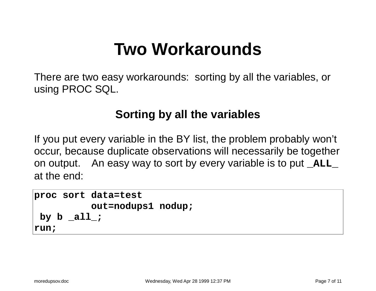#### **Two Workarounds**

There are two easy workarounds: sorting by all the variables, or using PROC SQL.

#### **Sorting by all the variables**

If you put every variable in the BY list, the problem probably won't occur, because duplicate observations will necessarily be together on output. An easy way to sort by every variable is to put **\_ALL\_** at the end:

```
proc sort data=test
          out=nodups1 nodup;
by b _all_;
run;
```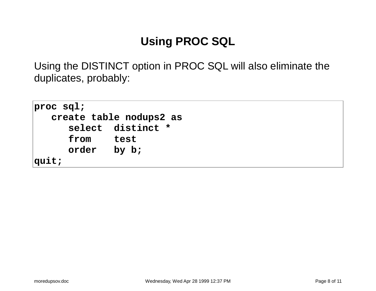#### **Using PROC SQL**

Using the DISTINCT option in PROC SQL will also eliminate the duplicates, probably:

```
proc sql;
  create table nodups2 as
     select distinct *
     from test
     order by b;
quit;
```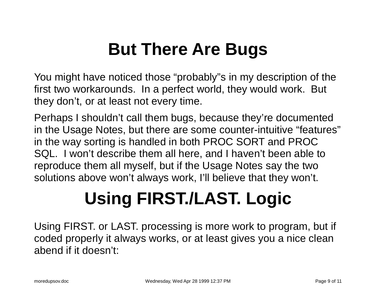### **But There Are Bugs**

You might have noticed those "probably"s in my description of the first two workarounds. In <sup>a</sup> perfect world, they would work. But they don't, or at least not every time.

Perhaps I shouldn't call them bugs, because they're documented in the Usage Notes, but there are some counter-intuitive "features" in the way sorting is handled in both PROC SORT and PROC SQL. I won't describe them all here, and I haven't been able to reproduce them all myself, but if the Usage Notes say the two solutions above won't always work, I'll believe that they won't.

# **Using FIRST./LAST. Logic**

Using FIRST. or LAST. processing is more work to program, but if coded properly it always works, or at least gives you <sup>a</sup> nice clean abend if it doesn't: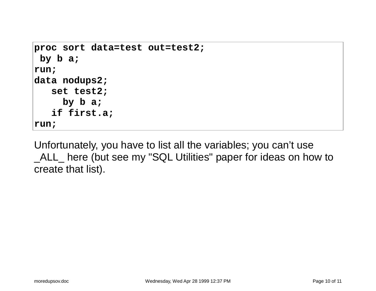```
proc sort data=test out=test2;
by b a;
run;
data nodups2;
   set test2;
     by b a;
   if first.a;
run;
```
Unfortunately, you have to list all the variables; you can't use \_ALL\_ here (but see my "SQL Utilities" paper for ideas on how to create that list).